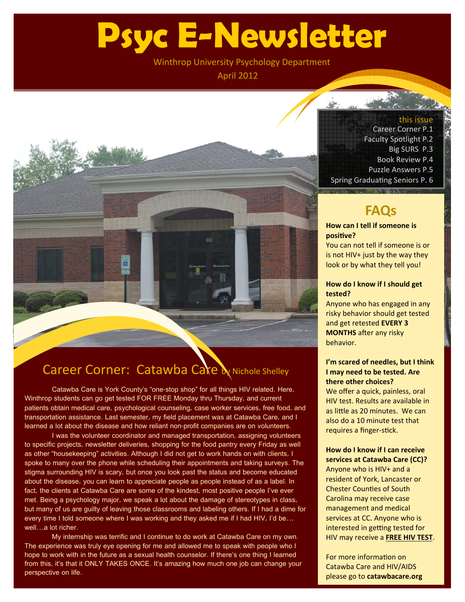# **Psyc E-Newsletter**

Winthrop University Psychology Department

April 2012

### Career Corner: Catawba Care by Nichole Shelley

Catawba Care is York County's "one-stop shop" for all things HIV related. Here, Winthrop students can go get tested FOR FREE Monday thru Thursday, and current patients obtain medical care, psychological counseling, case worker services, free food, and transportation assistance. Last semester, my field placement was at Catawba Care, and I learned a lot about the disease and how reliant non-profit companies are on volunteers.

I was the volunteer coordinator and managed transportation, assigning volunteers to specific projects, newsletter deliveries, shopping for the food pantry every Friday as well as other "housekeeping" activities. Although I did not get to work hands on with clients, I spoke to many over the phone while scheduling their appointments and taking surveys. The stigma surrounding HIV is scary, but once you look past the status and become educated about the disease, you can learn to appreciate people as people instead of as a label. In fact, the clients at Catawba Care are some of the kindest, most positive people I've ever met. Being a psychology major, we speak a lot about the damage of stereotypes in class, but many of us are guilty of leaving those classrooms and labeling others. If I had a dime for every time I told someone where I was working and they asked me if I had HIV, I'd be... well…a lot richer.

My internship was terrific and I continue to do work at Catawba Care on my own. The experience was truly eye opening for me and allowed me to speak with people who I hope to work with in the future as a sexual health counselor. If there's one thing I learned from this, it's that it ONLY TAKES ONCE. It's amazing how much one job can change your perspective on life.

#### this issue

Career Corner P.1 Faculty Spotlight P.2 Big SURS P.3 Book Review P.4 Puzzle Answers P.5 Spring Graduating Seniors P. 6

## **FAQs**

### **How can I tell if someone is posiƟve?**

You can not tell if someone is or is not HIV $+$  just by the way they look or by what they tell you!

#### **How do I know if I should get tested?**

Anyone who has engaged in any risky behavior should get tested and get retested **EVERY 3 MONTHS** after any risky behavior.

#### **I'm scared of needles, but I think I may need to be tested. Are there other choices?**

We offer a quick, painless, oral HIV test. Results are available in as little as 20 minutes. We can also do a 10 minute test that requires a finger-stick.

#### **How do I know if I can receive services at Catawba Care (CC)?**

Anyone who is HIV+ and a resident of York, Lancaster or **Chester Counties of South** Carolina may receive case management and medical services at CC. Anyone who is interested in getting tested for HIV may receive a **FREE HIV TEST**.

For more information on Catawba Care and HIV/AIDS please go to **catawbacare.org**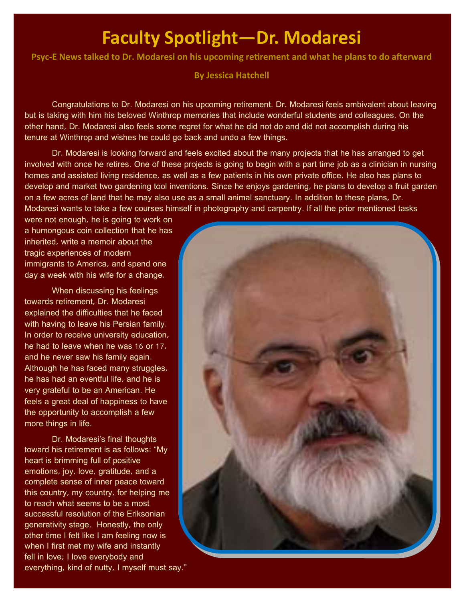## **Faculty Spotlight—Dr. Modaresi**

Psyc-E News talked to Dr. Modaresi on his upcoming retirement and what he plans to do afterward

**By Jessica Hatchell**

 Congratulations to Dr. Modaresi on his upcoming retirement. Dr. Modaresi feels ambivalent about leaving but is taking with him his beloved Winthrop memories that include wonderful students and colleagues. On the other hand, Dr. Modaresi also feels some regret for what he did not do and did not accomplish during his tenure at Winthrop and wishes he could go back and undo a few things.

 Dr. Modaresi is looking forward and feels excited about the many projects that he has arranged to get involved with once he retires. One of these projects is going to begin with a part time job as a clinician in nursing homes and assisted living residence, as well as a few patients in his own private office. He also has plans to develop and market two gardening tool inventions. Since he enjoys gardening, he plans to develop a fruit garden on a few acres of land that he may also use as a small animal sanctuary. In addition to these plans, Dr. Modaresi wants to take a few courses himself in photography and carpentry. If all the prior mentioned tasks

were not enough, he is going to work on a humongous coin collection that he has inherited, write a memoir about the tragic experiences of modern immigrants to America, and spend one day a week with his wife for a change.

 When discussing his feelings towards retirement, Dr. Modaresi explained the difficulties that he faced with having to leave his Persian family. In order to receive university education, he had to leave when he was 16 or 17, and he never saw his family again. Although he has faced many struggles, he has had an eventful life, and he is very grateful to be an American. He feels a great deal of happiness to have the opportunity to accomplish a few more things in life.

Dr. Modaresi's final thoughts toward his retirement is as follows: "My heart is brimming full of positive emotions, joy, love, gratitude, and a complete sense of inner peace toward this country, my country, for helping me to reach what seems to be a most successful resolution of the Eriksonian generativity stage. Honestly, the only other time I felt like I am feeling now is when I first met my wife and instantly fell in love; I love everybody and everything, kind of nutty, I myself must say."

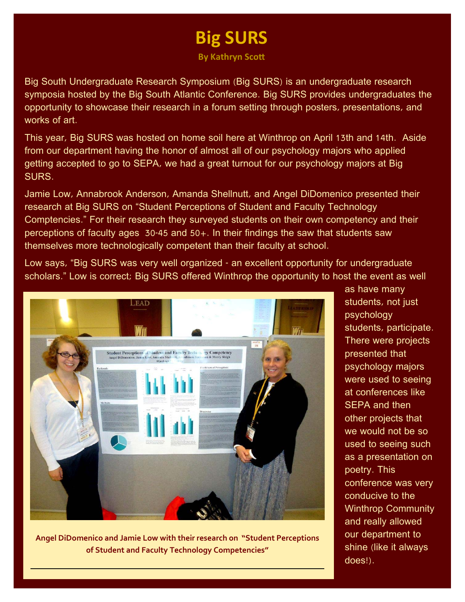## **Big SURS**

**By** Kathryn Scott

Big South Undergraduate Research Symposium (Big SURS) is an undergraduate research symposia hosted by the Big South Atlantic Conference. Big SURS provides undergraduates the opportunity to showcase their research in a forum setting through posters, presentations, and works of art.

This year, Big SURS was hosted on home soil here at Winthrop on April 13th and 14th. Aside from our department having the honor of almost all of our psychology majors who applied getting accepted to go to SEPA, we had a great turnout for our psychology majors at Big SURS.

Jamie Low, Annabrook Anderson, Amanda Shellnutt, and Angel DiDomenico presented their research at Big SURS on "Student Perceptions of Student and Faculty Technology Comptencies." For their research they surveyed students on their own competency and their perceptions of faculty ages 30-45 and 50+. In their findings the saw that students saw themselves more technologically competent than their faculty at school.

Low says, "Big SURS was very well organized - an excellent opportunity for undergraduate scholars." Low is correct; Big SURS offered Winthrop the opportunity to host the event as well



**Angel DiDomenico and Jamie Low with their research on "Student Perceptions of Student and Faculty Technology Competencies"**

as have many students, not just psychology students, participate. There were projects presented that psychology majors were used to seeing at conferences like SEPA and then other projects that we would not be so used to seeing such as a presentation on poetry. This conference was very conducive to the Winthrop Community and really allowed our department to shine (like it always does!).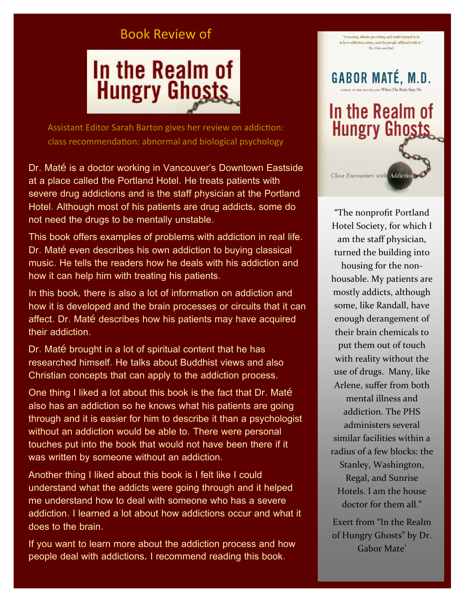### Book Review of



Assistant Editor Sarah Barton gives her review on addiction: class recommendation: abnormal and biological psychology

Dr. Maté is a doctor working in Vancouver's Downtown Eastside at a place called the Portland Hotel. He treats patients with severe drug addictions and is the staff physician at the Portland Hotel. Although most of his patients are drug addicts, some do not need the drugs to be mentally unstable.

This book offers examples of problems with addiction in real life. Dr. Maté even describes his own addiction to buying classical music. He tells the readers how he deals with his addiction and how it can help him with treating his patients.

In this book, there is also a lot of information on addiction and how it is developed and the brain processes or circuits that it can affect. Dr. Maté describes how his patients may have acquired their addiction.

Dr. Maté brought in a lot of spiritual content that he has researched himself. He talks about Buddhist views and also Christian concepts that can apply to the addiction process.

One thing I liked a lot about this book is the fact that Dr. Maté also has an addiction so he knows what his patients are going through and it is easier for him to describe it than a psychologist without an addiction would be able to. There were personal touches put into the book that would not have been there if it was written by someone without an addiction.

Another thing I liked about this book is I felt like I could understand what the addicts were going through and it helped me understand how to deal with someone who has a severe addiction. I learned a lot about how addictions occur and what it does to the brain.

If you want to learn more about the addiction process and how people deal with addictions, I recommend reading this book.



Close Encounters with Addictio

"A moving, debate-provoking and multi-lawored look at how addiction arises, and the people afflicted with it." The Globa and Mail

"The nonprofit Portland Hotel Society, for which I am the staff physician, turned the building into housing for the non‐ housable. My patients are mostly addicts, although some, like Randall, have enough derangement of their brain chemicals to put them out of touch with reality without the use of drugs. Many, like Arlene, suffer from both mental illness and addiction. The PHS administers several similar facilities within a radius of a few blocks: the Stanley, Washington, Regal, and Sunrise Hotels. I am the house doctor for them all."

Exert from "In the Realm of Hungry Ghosts" by Dr. Gabor Mate'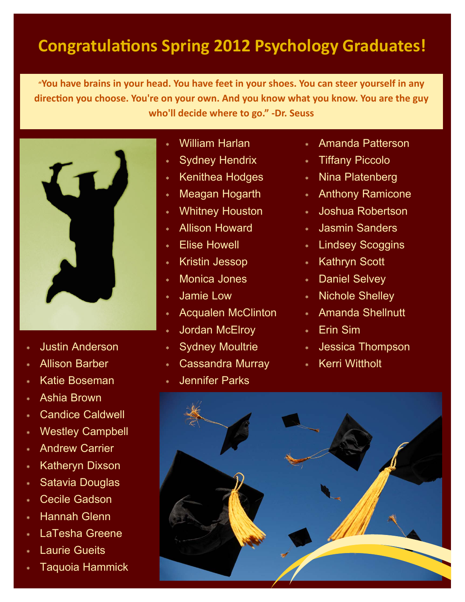## **CongratulaƟons Spring 2012 Psychology Graduates!**

**"You have brains in your head. You have feet in your shoes. You can steer yourself in any direcƟon you choose. You're on your own. And you know what you know. You are the guy who'll decide where to go." ‐Dr. Seuss**



- Justin Anderson
- Allison Barber
- Katie Boseman
- Ashia Brown
- Candice Caldwell
- Westley Campbell
- Andrew Carrier
- \* Katheryn Dixson
- Satavia Douglas
- Cecile Gadson
- Hannah Glenn
- LaTesha Greene
- Laurie Gueits
- Taquoia Hammick
- William Harlan
- Sydney Hendrix
- \* Kenithea Hodges
- Meagan Hogarth
- Whitney Houston
- Allison Howard
- Elise Howell
- Kristin Jessop
- Monica Jones
- Jamie Low
- Acqualen McClinton
- Jordan McElroy
- Sydney Moultrie
- Cassandra Murray
- Jennifer Parks
- Amanda Patterson
- Tiffany Piccolo
- Nina Platenberg
- Anthony Ramicone
- Joshua Robertson
- Jasmin Sanders
- Lindsey Scoggins
- \* Kathryn Scott
- Daniel Selvey
- Nichole Shelley
- Amanda Shellnutt
- Erin Sim
- Jessica Thompson
- \* Kerri Wittholt